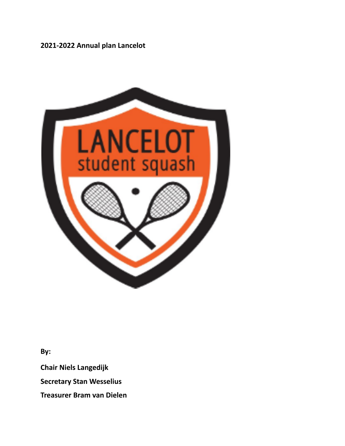# **2021-2022 Annual plan Lancelot**



**By:**

**Chair Niels Langedijk**

**Secretary Stan Wesselius**

**Treasurer Bram van Dielen**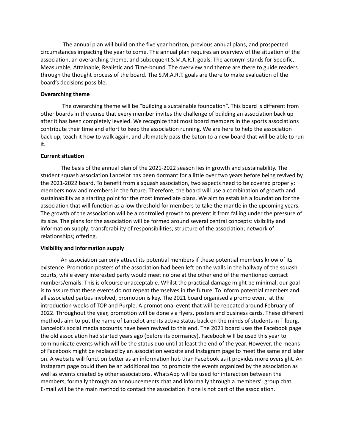The annual plan will build on the five year horizon, previous annual plans, and prospected circumstances impacting the year to come. The annual plan requires an overview of the situation of the association, an overarching theme, and subsequent S.M.A.R.T. goals. The acronym stands for Specific, Measurable, Attainable, Realistic and Time-bound. The overview and theme are there to guide readers through the thought process of the board. The S.M.A.R.T. goals are there to make evaluation of the board's decisions possible.

## **Overarching theme**

The overarching theme will be "building a sustainable foundation". This board is different from other boards in the sense that every member invites the challenge of building an association back up after it has been completely leveled. We recognize that most board members in the sports associations contribute their time and effort to keep the association running. We are here to help the association back up, teach it how to walk again, and ultimately pass the baton to a new board that will be able to run it.

## **Current situation**

The basis of the annual plan of the 2021-2022 season lies in growth and sustainability. The student squash association Lancelot has been dormant for a little over two years before being revived by the 2021-2022 board. To benefit from a squash association, two aspects need to be covered properly: members now and members in the future. Therefore, the board will use a combination of growth and sustainability as a starting point for the most immediate plans. We aim to establish a foundation for the association that will function as a low threshold for members to take the mantle in the upcoming years. The growth of the association will be a controlled growth to prevent it from falling under the pressure of its size. The plans for the association will be formed around several central concepts: visibility and information supply; transferability of responsibilities; structure of the association; network of relationships; offering.

### **Visibility and information supply**

An association can only attract its potential members if these potential members know of its existence. Promotion posters of the association had been left on the walls in the hallway of the squash courts, while every interested party would meet no one at the other end of the mentioned contact numbers/emails. This is ofcourse unacceptable. Whilst the practical damage might be minimal, our goal is to assure that these events do not repeat themselves in the future. To inform potential members and all associated parties involved, promotion is key. The 2021 board organised a promo event at the introduction weeks of TOP and Purple. A promotional event that will be repeated around February of 2022. Throughout the year, promotion will be done via flyers, posters and business cards. These different methods aim to put the name of Lancelot and its active status back on the minds of students in Tilburg. Lancelot's social media accounts have been revived to this end. The 2021 board uses the Facebook page the old association had started years ago (before its dormancy). Facebook will be used this year to communicate events which will be the status quo until at least the end of the year. However, the means of Facebook might be replaced by an association website and Instagram page to meet the same end later on. A website will function better as an information hub than Facebook as it provides more oversight. An Instagram page could then be an additional tool to promote the events organized by the association as well as events created by other associations. WhatsApp will be used for interaction between the members, formally through an announcements chat and informally through a members' group chat. E-mail will be the main method to contact the association if one is not part of the association.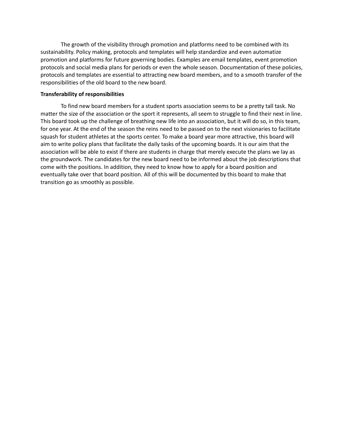The growth of the visibility through promotion and platforms need to be combined with its sustainability. Policy making, protocols and templates will help standardize and even automatize promotion and platforms for future governing bodies. Examples are email templates, event promotion protocols and social media plans for periods or even the whole season. Documentation of these policies, protocols and templates are essential to attracting new board members, and to a smooth transfer of the responsibilities of the old board to the new board.

#### **Transferability of responsibilities**

To find new board members for a student sports association seems to be a pretty tall task. No matter the size of the association or the sport it represents, all seem to struggle to find their next in line. This board took up the challenge of breathing new life into an association, but it will do so, in this team, for one year. At the end of the season the reins need to be passed on to the next visionaries to facilitate squash for student athletes at the sports center. To make a board year more attractive, this board will aim to write policy plans that facilitate the daily tasks of the upcoming boards. It is our aim that the association will be able to exist if there are students in charge that merely execute the plans we lay as the groundwork. The candidates for the new board need to be informed about the job descriptions that come with the positions. In addition, they need to know how to apply for a board position and eventually take over that board position. All of this will be documented by this board to make that transition go as smoothly as possible.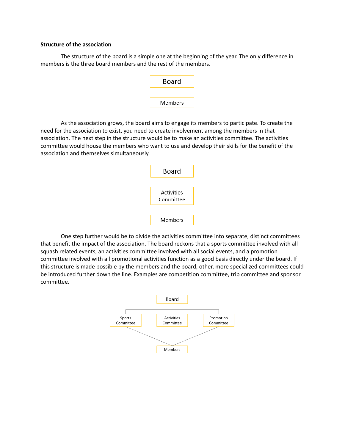### **Structure of the association**

The structure of the board is a simple one at the beginning of the year. The only difference in members is the three board members and the rest of the members.



As the association grows, the board aims to engage its members to participate. To create the need for the association to exist, you need to create involvement among the members in that association. The next step in the structure would be to make an activities committee. The activities committee would house the members who want to use and develop their skills for the benefit of the association and themselves simultaneously.



One step further would be to divide the activities committee into separate, distinct committees that benefit the impact of the association. The board reckons that a sports committee involved with all squash related events, an activities committee involved with all social events, and a promotion committee involved with all promotional activities function as a good basis directly under the board. If this structure is made possible by the members and the board, other, more specialized committees could be introduced further down the line. Examples are competition committee, trip committee and sponsor committee.

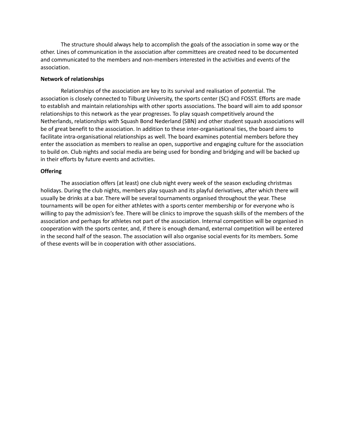The structure should always help to accomplish the goals of the association in some way or the other. Lines of communication in the association after committees are created need to be documented and communicated to the members and non-members interested in the activities and events of the association.

## **Network of relationships**

Relationships of the association are key to its survival and realisation of potential. The association is closely connected to Tilburg University, the sports center (SC) and FOSST. Efforts are made to establish and maintain relationships with other sports associations. The board will aim to add sponsor relationships to this network as the year progresses. To play squash competitively around the Netherlands, relationships with Squash Bond Nederland (SBN) and other student squash associations will be of great benefit to the association. In addition to these inter-organisational ties, the board aims to facilitate intra-organisational relationships as well. The board examines potential members before they enter the association as members to realise an open, supportive and engaging culture for the association to build on. Club nights and social media are being used for bonding and bridging and will be backed up in their efforts by future events and activities.

## **Offering**

The association offers (at least) one club night every week of the season excluding christmas holidays. During the club nights, members play squash and its playful derivatives, after which there will usually be drinks at a bar. There will be several tournaments organised throughout the year. These tournaments will be open for either athletes with a sports center membership or for everyone who is willing to pay the admission's fee. There will be clinics to improve the squash skills of the members of the association and perhaps for athletes not part of the association. Internal competition will be organised in cooperation with the sports center, and, if there is enough demand, external competition will be entered in the second half of the season. The association will also organise social events for its members. Some of these events will be in cooperation with other associations.